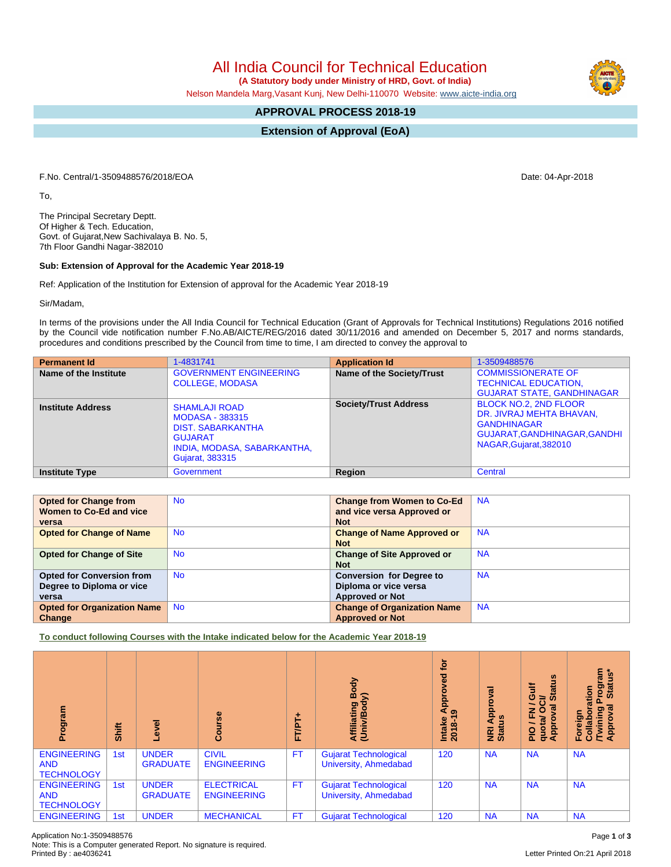All India Council for Technical Education

 **(A Statutory body under Ministry of HRD, Govt. of India)**

Nelson Mandela Marg,Vasant Kunj, New Delhi-110070 Website: [www.aicte-india.org](http://www.aicte-india.org)

## **APPROVAL PROCESS 2018-19**

**Extension of Approval (EoA)**

F.No. Central/1-3509488576/2018/EOA Date: 04-Apr-2018

To,

The Principal Secretary Deptt. Of Higher & Tech. Education, Govt. of Gujarat,New Sachivalaya B. No. 5, 7th Floor Gandhi Nagar-382010

## **Sub: Extension of Approval for the Academic Year 2018-19**

Ref: Application of the Institution for Extension of approval for the Academic Year 2018-19

Sir/Madam,

In terms of the provisions under the All India Council for Technical Education (Grant of Approvals for Technical Institutions) Regulations 2016 notified by the Council vide notification number F.No.AB/AICTE/REG/2016 dated 30/11/2016 and amended on December 5, 2017 and norms standards, procedures and conditions prescribed by the Council from time to time, I am directed to convey the approval to

| <b>Permanent Id</b>      | 1-4831741                                                                                                                                      | <b>Application Id</b>        | 1-3509488576                                                                                                                             |
|--------------------------|------------------------------------------------------------------------------------------------------------------------------------------------|------------------------------|------------------------------------------------------------------------------------------------------------------------------------------|
| Name of the Institute    | <b>GOVERNMENT ENGINEERING</b><br><b>COLLEGE, MODASA</b>                                                                                        | Name of the Society/Trust    | <b>COMMISSIONERATE OF</b><br><b>TECHNICAL EDUCATION,</b><br><b>GUJARAT STATE, GANDHINAGAR</b>                                            |
| <b>Institute Address</b> | <b>SHAMLAJI ROAD</b><br><b>MODASA - 383315</b><br><b>DIST. SABARKANTHA</b><br><b>GUJARAT</b><br>INDIA, MODASA, SABARKANTHA,<br>Gujarat, 383315 | <b>Society/Trust Address</b> | <b>BLOCK NO.2, 2ND FLOOR</b><br>DR. JIVRAJ MEHTA BHAVAN,<br><b>GANDHINAGAR</b><br>GUJARAT, GANDHINAGAR, GANDHI<br>NAGAR, Gujarat, 382010 |
| <b>Institute Type</b>    | Government                                                                                                                                     | Region                       | Central                                                                                                                                  |

| <b>Opted for Change from</b>       | <b>No</b> | <b>Change from Women to Co-Ed</b>  | <b>NA</b> |
|------------------------------------|-----------|------------------------------------|-----------|
| Women to Co-Ed and vice            |           | and vice versa Approved or         |           |
| versa                              |           | <b>Not</b>                         |           |
| <b>Opted for Change of Name</b>    | <b>No</b> | <b>Change of Name Approved or</b>  | <b>NA</b> |
|                                    |           | <b>Not</b>                         |           |
| <b>Opted for Change of Site</b>    | <b>No</b> | <b>Change of Site Approved or</b>  | <b>NA</b> |
|                                    |           | <b>Not</b>                         |           |
| <b>Opted for Conversion from</b>   | <b>No</b> | <b>Conversion for Degree to</b>    | <b>NA</b> |
| Degree to Diploma or vice          |           | Diploma or vice versa              |           |
| versa                              |           | <b>Approved or Not</b>             |           |
| <b>Opted for Organization Name</b> | <b>No</b> | <b>Change of Organization Name</b> | <b>NA</b> |
| Change                             |           | <b>Approved or Not</b>             |           |

**To conduct following Courses with the Intake indicated below for the Academic Year 2018-19**

| Program                                               | Shift | ō                               | 88<br>ပိ                                | FT/PT+    | Body<br>⋦<br>Affiliating<br>(Univ/Body                | đ<br>ठ<br>õ<br>App <sub>o</sub><br>Intake<br>2018-1 | ಸ<br>윤<br><b>NRI Ap<br/>Status</b> | <b>Status</b><br><b>Gulf</b><br>∍<br>$\sigma$<br>O<br>z<br>正<br>豆<br><b>Appro</b><br>ğ<br>$\frac{1}{2}$<br>ㅎ | rogram<br>Status*<br>ration<br>ᢛ<br>ဥ္<br>ō<br>Foreign<br>Collabou<br>/Twining<br>Approva |
|-------------------------------------------------------|-------|---------------------------------|-----------------------------------------|-----------|-------------------------------------------------------|-----------------------------------------------------|------------------------------------|--------------------------------------------------------------------------------------------------------------|-------------------------------------------------------------------------------------------|
| <b>ENGINEERING</b><br><b>AND</b><br><b>TECHNOLOGY</b> | 1st   | <b>UNDER</b><br><b>GRADUATE</b> | <b>CIVIL</b><br><b>ENGINEERING</b>      | <b>FT</b> | <b>Gujarat Technological</b><br>University, Ahmedabad | 120                                                 | <b>NA</b>                          | <b>NA</b>                                                                                                    | <b>NA</b>                                                                                 |
| <b>ENGINEERING</b><br><b>AND</b><br><b>TECHNOLOGY</b> | 1st   | <b>UNDER</b><br><b>GRADUATE</b> | <b>ELECTRICAL</b><br><b>ENGINEERING</b> | <b>FT</b> | Gujarat Technological<br>University, Ahmedabad        | 120                                                 | <b>NA</b>                          | <b>NA</b>                                                                                                    | <b>NA</b>                                                                                 |
| <b>ENGINEERING</b>                                    | 1st   | <b>UNDER</b>                    | <b>MECHANICAL</b>                       | <b>FT</b> | <b>Gujarat Technological</b>                          | 120                                                 | <b>NA</b>                          | <b>NA</b>                                                                                                    | <b>NA</b>                                                                                 |

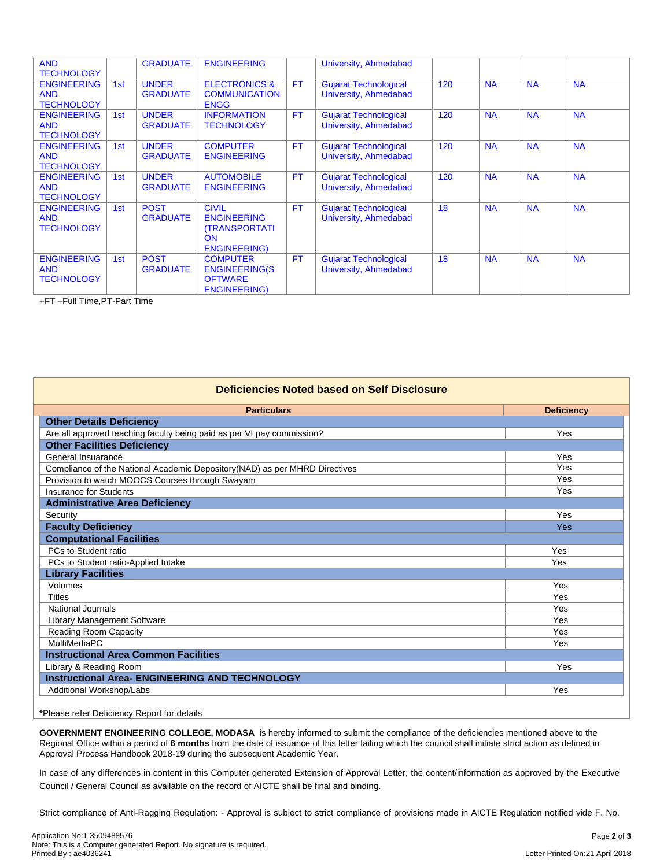| <b>AND</b><br><b>TECHNOLOGY</b>                       |     | <b>GRADUATE</b>                 | <b>ENGINEERING</b>                                                                             |           | University, Ahmedabad                                 |     |           |           |           |
|-------------------------------------------------------|-----|---------------------------------|------------------------------------------------------------------------------------------------|-----------|-------------------------------------------------------|-----|-----------|-----------|-----------|
| <b>ENGINEERING</b><br><b>AND</b><br><b>TECHNOLOGY</b> | 1st | <b>UNDER</b><br><b>GRADUATE</b> | <b>ELECTRONICS &amp;</b><br><b>COMMUNICATION</b><br><b>ENGG</b>                                | <b>FT</b> | <b>Gujarat Technological</b><br>University, Ahmedabad | 120 | <b>NA</b> | <b>NA</b> | <b>NA</b> |
| <b>ENGINEERING</b><br><b>AND</b><br><b>TECHNOLOGY</b> | 1st | <b>UNDER</b><br><b>GRADUATE</b> | <b>INFORMATION</b><br><b>TECHNOLOGY</b>                                                        | <b>FT</b> | <b>Gujarat Technological</b><br>University, Ahmedabad | 120 | <b>NA</b> | <b>NA</b> | <b>NA</b> |
| <b>ENGINEERING</b><br><b>AND</b><br><b>TECHNOLOGY</b> | 1st | <b>UNDER</b><br><b>GRADUATE</b> | <b>COMPUTER</b><br><b>ENGINEERING</b>                                                          | <b>FT</b> | <b>Gujarat Technological</b><br>University, Ahmedabad | 120 | <b>NA</b> | <b>NA</b> | <b>NA</b> |
| <b>ENGINEERING</b><br><b>AND</b><br><b>TECHNOLOGY</b> | 1st | <b>UNDER</b><br><b>GRADUATE</b> | <b>AUTOMOBILE</b><br><b>ENGINEERING</b>                                                        | <b>FT</b> | <b>Gujarat Technological</b><br>University, Ahmedabad | 120 | <b>NA</b> | <b>NA</b> | <b>NA</b> |
| <b>ENGINEERING</b><br><b>AND</b><br><b>TECHNOLOGY</b> | 1st | <b>POST</b><br><b>GRADUATE</b>  | <b>CIVIL</b><br><b>ENGINEERING</b><br><b>(TRANSPORTATI</b><br><b>ON</b><br><b>ENGINEERING)</b> | <b>FT</b> | <b>Gujarat Technological</b><br>University, Ahmedabad | 18  | <b>NA</b> | <b>NA</b> | <b>NA</b> |
| <b>ENGINEERING</b><br><b>AND</b><br><b>TECHNOLOGY</b> | 1st | <b>POST</b><br><b>GRADUATE</b>  | <b>COMPUTER</b><br><b>ENGINEERING(S</b><br><b>OFTWARE</b><br><b>ENGINEERING)</b>               | <b>FT</b> | <b>Gujarat Technological</b><br>University, Ahmedabad | 18  | <b>NA</b> | <b>NA</b> | <b>NA</b> |

+FT –Full Time,PT-Part Time

| Deficiencies Noted based on Self Disclosure                                 |                   |  |  |  |  |  |
|-----------------------------------------------------------------------------|-------------------|--|--|--|--|--|
| <b>Particulars</b>                                                          | <b>Deficiency</b> |  |  |  |  |  |
| <b>Other Details Deficiency</b>                                             |                   |  |  |  |  |  |
| Are all approved teaching faculty being paid as per VI pay commission?      | Yes               |  |  |  |  |  |
| <b>Other Facilities Deficiency</b>                                          |                   |  |  |  |  |  |
| General Insuarance                                                          | Yes               |  |  |  |  |  |
| Compliance of the National Academic Depository (NAD) as per MHRD Directives | Yes               |  |  |  |  |  |
| Provision to watch MOOCS Courses through Swayam                             | Yes               |  |  |  |  |  |
| <b>Insurance for Students</b>                                               | Yes               |  |  |  |  |  |
| <b>Administrative Area Deficiency</b>                                       |                   |  |  |  |  |  |
| Security                                                                    | Yes               |  |  |  |  |  |
| <b>Faculty Deficiency</b>                                                   | <b>Yes</b>        |  |  |  |  |  |
| <b>Computational Facilities</b>                                             |                   |  |  |  |  |  |
| PCs to Student ratio                                                        | Yes               |  |  |  |  |  |
| PCs to Student ratio-Applied Intake                                         | Yes               |  |  |  |  |  |
| <b>Library Facilities</b>                                                   |                   |  |  |  |  |  |
| Volumes                                                                     | Yes               |  |  |  |  |  |
| <b>Titles</b>                                                               | Yes               |  |  |  |  |  |
| National Journals                                                           | Yes               |  |  |  |  |  |
| Library Management Software                                                 | Yes               |  |  |  |  |  |
| <b>Reading Room Capacity</b>                                                | Yes               |  |  |  |  |  |
| <b>MultiMediaPC</b>                                                         | Yes               |  |  |  |  |  |
| <b>Instructional Area Common Facilities</b>                                 |                   |  |  |  |  |  |
| Library & Reading Room                                                      | Yes               |  |  |  |  |  |
| <b>Instructional Area- ENGINEERING AND TECHNOLOGY</b>                       |                   |  |  |  |  |  |
| Additional Workshop/Labs                                                    | Yes               |  |  |  |  |  |

## **\***Please refer Deficiency Report for details

**GOVERNMENT ENGINEERING COLLEGE, MODASA** is hereby informed to submit the compliance of the deficiencies mentioned above to the Regional Office within a period of **6 months** from the date of issuance of this letter failing which the council shall initiate strict action as defined in Approval Process Handbook 2018-19 during the subsequent Academic Year.

In case of any differences in content in this Computer generated Extension of Approval Letter, the content/information as approved by the Executive Council / General Council as available on the record of AICTE shall be final and binding.

Strict compliance of Anti-Ragging Regulation: - Approval is subject to strict compliance of provisions made in AICTE Regulation notified vide F. No.